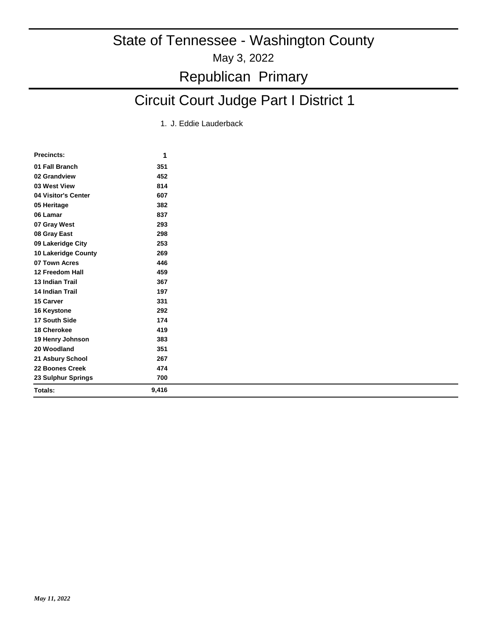## Circuit Court Judge Part I District 1

1. J. Eddie Lauderback

| <b>Precincts:</b>          | 1     |
|----------------------------|-------|
| 01 Fall Branch             | 351   |
| 02 Grandview               | 452   |
| 03 West View               | 814   |
| 04 Visitor's Center        | 607   |
| 05 Heritage                | 382   |
| 06 Lamar                   | 837   |
| 07 Gray West               | 293   |
| 08 Gray East               | 298   |
| 09 Lakeridge City          | 253   |
| <b>10 Lakeridge County</b> | 269   |
| 07 Town Acres              | 446   |
| 12 Freedom Hall            | 459   |
| <b>13 Indian Trail</b>     | 367   |
| <b>14 Indian Trail</b>     | 197   |
| 15 Carver                  | 331   |
| 16 Keystone                | 292   |
| 17 South Side              | 174   |
| 18 Cherokee                | 419   |
| 19 Henry Johnson           | 383   |
| 20 Woodland                | 351   |
| 21 Asbury School           | 267   |
| 22 Boones Creek            | 474   |
| 23 Sulphur Springs         | 700   |
| Totals:                    | 9,416 |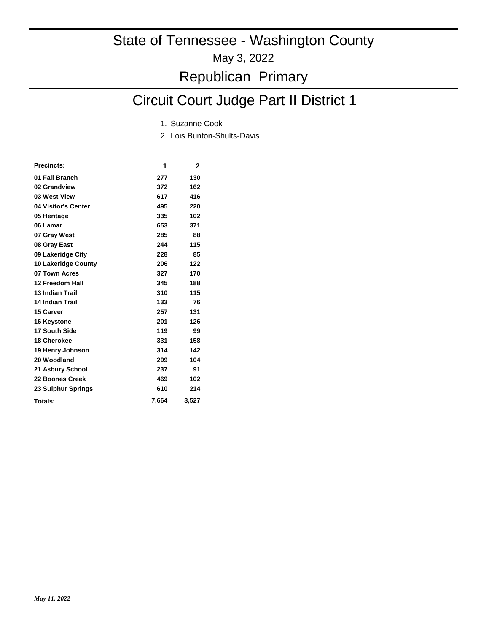May 3, 2022

### Republican Primary

## Circuit Court Judge Part II District 1

- 1. Suzanne Cook
- 2. Lois Bunton-Shults-Davis

| <b>Precincts:</b>      | 1     | 2     |
|------------------------|-------|-------|
| 01 Fall Branch         | 277   | 130   |
| 02 Grandview           | 372   | 162   |
| 03 West View           | 617   | 416   |
| 04 Visitor's Center    | 495   | 220   |
| 05 Heritage            | 335   | 102   |
| 06 Lamar               | 653   | 371   |
| 07 Gray West           | 285   | 88    |
| 08 Gray East           | 244   | 115   |
| 09 Lakeridge City      | 228   | 85    |
| 10 Lakeridge County    | 206   | 122   |
| 07 Town Acres          | 327   | 170   |
| 12 Freedom Hall        | 345   | 188   |
| <b>13 Indian Trail</b> | 310   | 115   |
| 14 Indian Trail        | 133   | 76    |
| 15 Carver              | 257   | 131   |
| 16 Keystone            | 201   | 126   |
| 17 South Side          | 119   | 99    |
| <b>18 Cherokee</b>     | 331   | 158   |
| 19 Henry Johnson       | 314   | 142   |
| 20 Woodland            | 299   | 104   |
| 21 Asbury School       | 237   | 91    |
| 22 Boones Creek        | 469   | 102   |
| 23 Sulphur Springs     | 610   | 214   |
| Totals:                | 7,664 | 3,527 |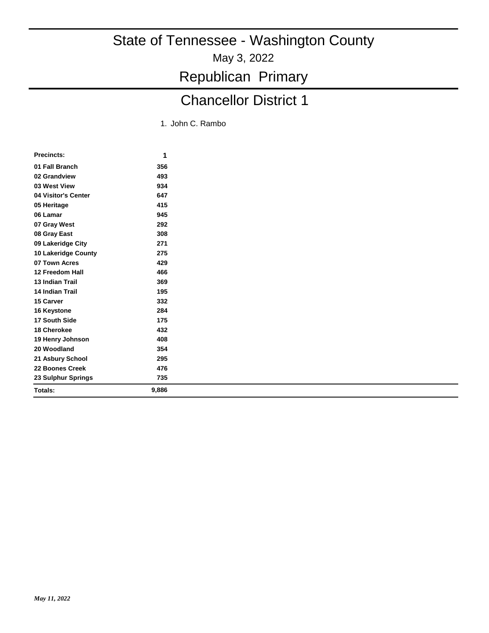Republican Primary

## Chancellor District 1

1. John C. Rambo

| <b>Precincts:</b>      | 1     |
|------------------------|-------|
| 01 Fall Branch         | 356   |
| 02 Grandview           | 493   |
| 03 West View           | 934   |
| 04 Visitor's Center    | 647   |
| 05 Heritage            | 415   |
| 06 Lamar               | 945   |
| 07 Gray West           | 292   |
| 08 Gray East           | 308   |
| 09 Lakeridge City      | 271   |
| 10 Lakeridge County    | 275   |
| 07 Town Acres          | 429   |
| 12 Freedom Hall        | 466   |
| <b>13 Indian Trail</b> | 369   |
| 14 Indian Trail        | 195   |
| 15 Carver              | 332   |
| 16 Keystone            | 284   |
| 17 South Side          | 175   |
| 18 Cherokee            | 432   |
| 19 Henry Johnson       | 408   |
| 20 Woodland            | 354   |
| 21 Asbury School       | 295   |
| 22 Boones Creek        | 476   |
| 23 Sulphur Springs     | 735   |
| Totals:                | 9,886 |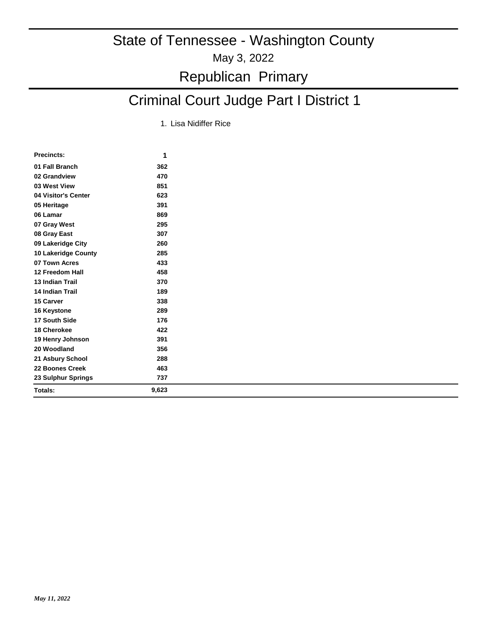## Criminal Court Judge Part I District 1

1. Lisa Nidiffer Rice

| <b>Precincts:</b>      | 1     |
|------------------------|-------|
| 01 Fall Branch         | 362   |
| 02 Grandview           | 470   |
| 03 West View           | 851   |
| 04 Visitor's Center    | 623   |
| 05 Heritage            | 391   |
| 06 Lamar               | 869   |
| 07 Gray West           | 295   |
| 08 Gray East           | 307   |
| 09 Lakeridge City      | 260   |
| 10 Lakeridge County    | 285   |
| 07 Town Acres          | 433   |
| 12 Freedom Hall        | 458   |
| <b>13 Indian Trail</b> | 370   |
| <b>14 Indian Trail</b> | 189   |
| 15 Carver              | 338   |
| 16 Keystone            | 289   |
| 17 South Side          | 176   |
| 18 Cherokee            | 422   |
| 19 Henry Johnson       | 391   |
| 20 Woodland            | 356   |
| 21 Asbury School       | 288   |
| 22 Boones Creek        | 463   |
| 23 Sulphur Springs     | 737   |
| Totals:                | 9,623 |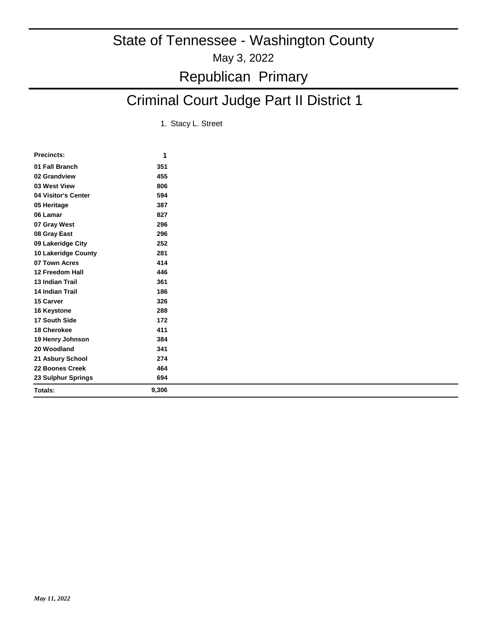## Criminal Court Judge Part II District 1

1. Stacy L. Street

| <b>Precincts:</b>      | 1     |
|------------------------|-------|
| 01 Fall Branch         | 351   |
| 02 Grandview           | 455   |
| 03 West View           | 806   |
| 04 Visitor's Center    | 594   |
| 05 Heritage            | 387   |
| 06 Lamar               | 827   |
| 07 Gray West           | 296   |
| 08 Gray East           | 296   |
| 09 Lakeridge City      | 252   |
| 10 Lakeridge County    | 281   |
| 07 Town Acres          | 414   |
| 12 Freedom Hall        | 446   |
| 13 Indian Trail        | 361   |
| <b>14 Indian Trail</b> | 186   |
| 15 Carver              | 326   |
| 16 Keystone            | 288   |
| 17 South Side          | 172   |
| 18 Cherokee            | 411   |
| 19 Henry Johnson       | 384   |
| 20 Woodland            | 341   |
| 21 Asbury School       | 274   |
| 22 Boones Creek        | 464   |
| 23 Sulphur Springs     | 694   |
| Totals:                | 9,306 |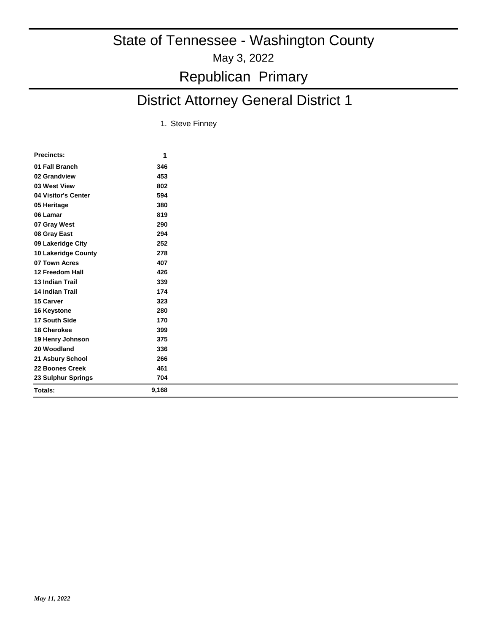## District Attorney General District 1

1. Steve Finney

| <b>Precincts:</b>      | 1     |
|------------------------|-------|
| 01 Fall Branch         | 346   |
| 02 Grandview           | 453   |
| 03 West View           | 802   |
| 04 Visitor's Center    | 594   |
| 05 Heritage            | 380   |
| 06 Lamar               | 819   |
| 07 Gray West           | 290   |
| 08 Gray East           | 294   |
| 09 Lakeridge City      | 252   |
| 10 Lakeridge County    | 278   |
| 07 Town Acres          | 407   |
| 12 Freedom Hall        | 426   |
| <b>13 Indian Trail</b> | 339   |
| <b>14 Indian Trail</b> | 174   |
| 15 Carver              | 323   |
| 16 Keystone            | 280   |
| 17 South Side          | 170   |
| 18 Cherokee            | 399   |
| 19 Henry Johnson       | 375   |
| 20 Woodland            | 336   |
| 21 Asbury School       | 266   |
| 22 Boones Creek        | 461   |
| 23 Sulphur Springs     | 704   |
| Totals:                | 9,168 |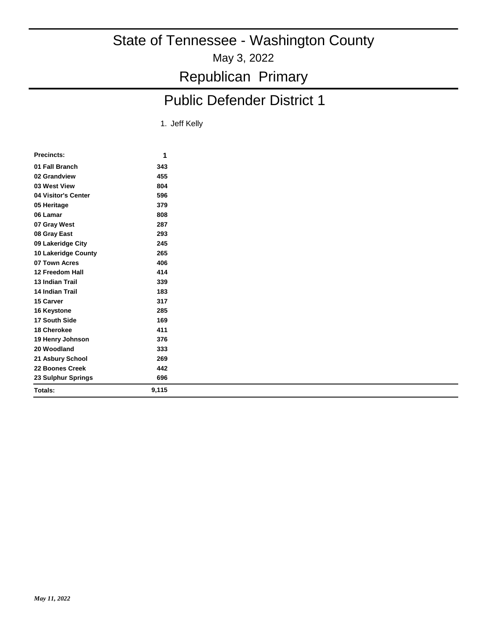May 3, 2022

Republican Primary

## Public Defender District 1

1. Jeff Kelly

| Precincts:             | 1     |  |
|------------------------|-------|--|
| 01 Fall Branch         | 343   |  |
| 02 Grandview           | 455   |  |
| 03 West View           | 804   |  |
| 04 Visitor's Center    | 596   |  |
| 05 Heritage            | 379   |  |
| 06 Lamar               | 808   |  |
| 07 Gray West           | 287   |  |
| 08 Gray East           | 293   |  |
| 09 Lakeridge City      | 245   |  |
| 10 Lakeridge County    | 265   |  |
| 07 Town Acres          | 406   |  |
| 12 Freedom Hall        | 414   |  |
| <b>13 Indian Trail</b> | 339   |  |
| <b>14 Indian Trail</b> | 183   |  |
| 15 Carver              | 317   |  |
| 16 Keystone            | 285   |  |
| 17 South Side          | 169   |  |
| 18 Cherokee            | 411   |  |
| 19 Henry Johnson       | 376   |  |
| 20 Woodland            | 333   |  |
| 21 Asbury School       | 269   |  |
| 22 Boones Creek        | 442   |  |
| 23 Sulphur Springs     | 696   |  |
| Totals:                | 9,115 |  |
|                        |       |  |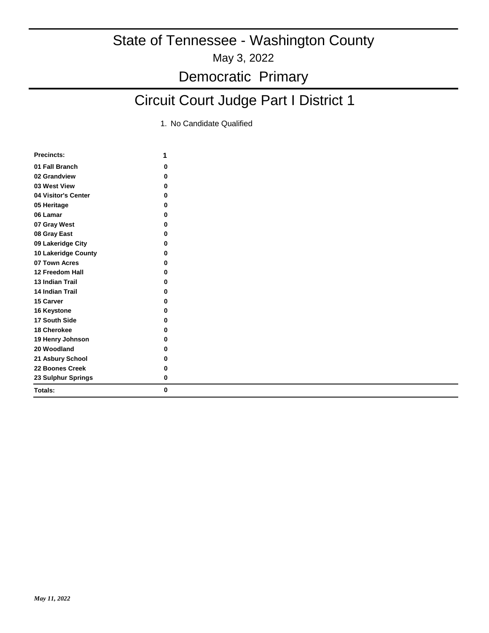### Democratic Primary

## Circuit Court Judge Part I District 1

| <b>Precincts:</b>      | 1        |
|------------------------|----------|
| 01 Fall Branch         | 0        |
| 02 Grandview           | 0        |
| 03 West View           | 0        |
| 04 Visitor's Center    | 0        |
| 05 Heritage            | 0        |
| 06 Lamar               | 0        |
| 07 Gray West           | 0        |
| 08 Gray East           | 0        |
| 09 Lakeridge City      | 0        |
| 10 Lakeridge County    | 0        |
| 07 Town Acres          | 0        |
| 12 Freedom Hall        | $\bf{0}$ |
| <b>13 Indian Trail</b> | 0        |
| <b>14 Indian Trail</b> | 0        |
| 15 Carver              | 0        |
| 16 Keystone            | 0        |
| 17 South Side          | 0        |
| 18 Cherokee            | 0        |
| 19 Henry Johnson       | 0        |
| 20 Woodland            | 0        |
| 21 Asbury School       | 0        |
| 22 Boones Creek        | 0        |
| 23 Sulphur Springs     | 0        |
| Totals:                | 0        |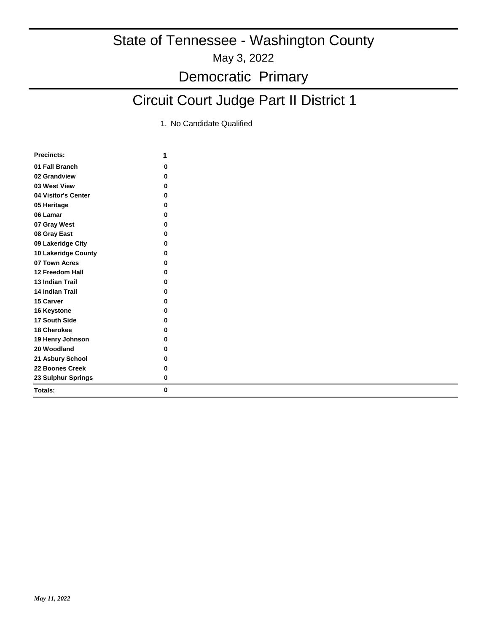## Circuit Court Judge Part II District 1

| <b>Precincts:</b>      | 1        |
|------------------------|----------|
| 01 Fall Branch         | 0        |
| 02 Grandview           | 0        |
| 03 West View           | 0        |
| 04 Visitor's Center    | $\bf{0}$ |
| 05 Heritage            | 0        |
| 06 Lamar               | 0        |
| 07 Gray West           | 0        |
| 08 Gray East           | 0        |
| 09 Lakeridge City      | 0        |
| 10 Lakeridge County    | 0        |
| 07 Town Acres          | 0        |
| 12 Freedom Hall        | 0        |
| <b>13 Indian Trail</b> | O        |
| 14 Indian Trail        | 0        |
| 15 Carver              | U        |
| 16 Keystone            | 0        |
| 17 South Side          | 0        |
| 18 Cherokee            | O        |
| 19 Henry Johnson       | 0        |
| 20 Woodland            | 0        |
| 21 Asbury School       | 0        |
| 22 Boones Creek        | 0        |
| 23 Sulphur Springs     | 0        |
| Totals:                | 0        |
|                        |          |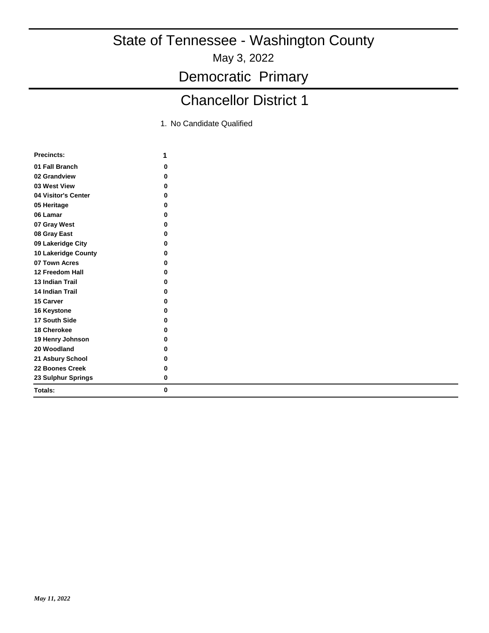May 3, 2022

Democratic Primary

## Chancellor District 1

| <b>Precincts:</b>      | 1 |
|------------------------|---|
| 01 Fall Branch         | 0 |
| 02 Grandview           | ŋ |
| 03 West View           | 0 |
| 04 Visitor's Center    | 0 |
| 05 Heritage            | O |
| 06 Lamar               | O |
| 07 Gray West           | 0 |
| 08 Gray East           | 0 |
| 09 Lakeridge City      | O |
| 10 Lakeridge County    | 0 |
| 07 Town Acres          | 0 |
| 12 Freedom Hall        | 0 |
| <b>13 Indian Trail</b> | ŋ |
| <b>14 Indian Trail</b> | 0 |
| 15 Carver              | ŋ |
| 16 Keystone            | O |
| 17 South Side          | O |
| 18 Cherokee            | 0 |
| 19 Henry Johnson       | 0 |
| 20 Woodland            | 0 |
| 21 Asbury School       | 0 |
| 22 Boones Creek        | 0 |
| 23 Sulphur Springs     | 0 |
| Totals:                | 0 |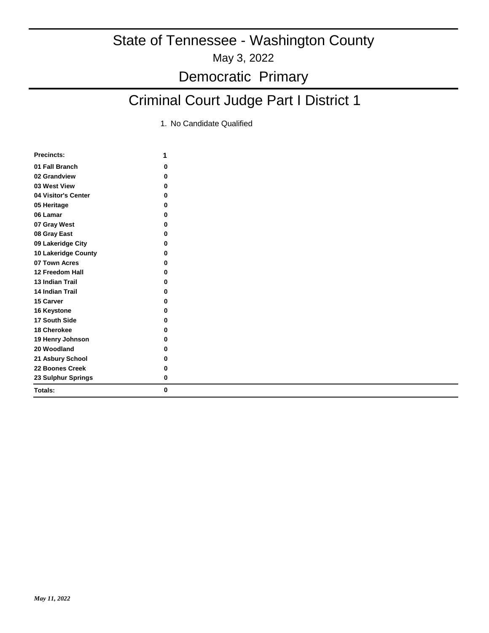## Criminal Court Judge Part I District 1

| <b>Precincts:</b>      | 1 |
|------------------------|---|
| 01 Fall Branch         | 0 |
| 02 Grandview           | ŋ |
| 03 West View           | 0 |
| 04 Visitor's Center    | ŋ |
| 05 Heritage            | 0 |
| 06 Lamar               | 0 |
| 07 Gray West           | 0 |
| 08 Gray East           | 0 |
| 09 Lakeridge City      | ŋ |
| 10 Lakeridge County    | 0 |
| 07 Town Acres          | ŋ |
| 12 Freedom Hall        | 0 |
| <b>13 Indian Trail</b> | 0 |
| <b>14 Indian Trail</b> | 0 |
| <b>15 Carver</b>       | 0 |
| 16 Keystone            | 0 |
| 17 South Side          | 0 |
| 18 Cherokee            | 0 |
| 19 Henry Johnson       | 0 |
| 20 Woodland            | 0 |
| 21 Asbury School       | 0 |
| 22 Boones Creek        | 0 |
| 23 Sulphur Springs     | 0 |
| Totals:                | 0 |
|                        |   |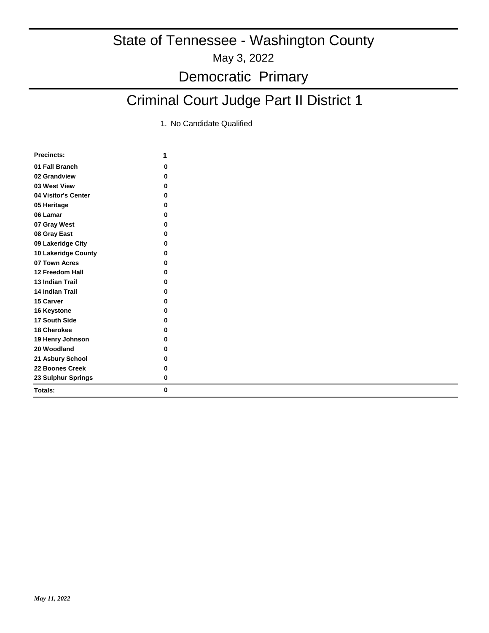## Criminal Court Judge Part II District 1

| <b>Precincts:</b>      | 1        |
|------------------------|----------|
| 01 Fall Branch         | 0        |
| 02 Grandview           | 0        |
| 03 West View           | 0        |
| 04 Visitor's Center    | 0        |
| 05 Heritage            | $\bf{0}$ |
| 06 Lamar               | 0        |
| 07 Gray West           | 0        |
| 08 Gray East           | 0        |
| 09 Lakeridge City      | $\bf{0}$ |
| 10 Lakeridge County    | 0        |
| 07 Town Acres          | 0        |
| 12 Freedom Hall        | 0        |
| <b>13 Indian Trail</b> | ŋ        |
| 14 Indian Trail        | U        |
| 15 Carver              | U        |
| 16 Keystone            | U        |
| 17 South Side          | O        |
| 18 Cherokee            | 0        |
| 19 Henry Johnson       | 0        |
| 20 Woodland            | 0        |
| 21 Asbury School       | 0        |
| 22 Boones Creek        | 0        |
| 23 Sulphur Springs     | 0        |
| Totals:                | 0        |
|                        |          |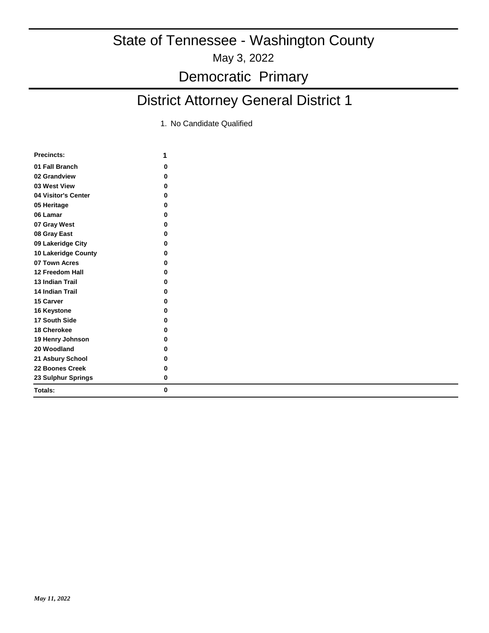### Democratic Primary

## District Attorney General District 1

| 01 Fall Branch<br>0<br>02 Grandview<br>0<br>03 West View<br>0<br>04 Visitor's Center<br>0<br>05 Heritage<br>0<br>06 Lamar<br>0<br>07 Gray West<br>0<br>08 Gray East<br>0 |  |
|--------------------------------------------------------------------------------------------------------------------------------------------------------------------------|--|
|                                                                                                                                                                          |  |
|                                                                                                                                                                          |  |
|                                                                                                                                                                          |  |
|                                                                                                                                                                          |  |
|                                                                                                                                                                          |  |
|                                                                                                                                                                          |  |
|                                                                                                                                                                          |  |
|                                                                                                                                                                          |  |
| 09 Lakeridge City<br>0                                                                                                                                                   |  |
| 10 Lakeridge County<br>0                                                                                                                                                 |  |
| 07 Town Acres<br>0                                                                                                                                                       |  |
| 12 Freedom Hall<br>0                                                                                                                                                     |  |
| <b>13 Indian Trail</b><br>$\bf{0}$                                                                                                                                       |  |
| 14 Indian Trail<br>U                                                                                                                                                     |  |
| 15 Carver<br>0                                                                                                                                                           |  |
| U<br>16 Keystone                                                                                                                                                         |  |
| 17 South Side<br>0                                                                                                                                                       |  |
| <b>18 Cherokee</b><br>0                                                                                                                                                  |  |
| 19 Henry Johnson<br>0                                                                                                                                                    |  |
| 20 Woodland<br>0                                                                                                                                                         |  |
| 21 Asbury School<br>0                                                                                                                                                    |  |
| 22 Boones Creek<br>0                                                                                                                                                     |  |
| 23 Sulphur Springs<br>0                                                                                                                                                  |  |
| 0<br>Totals:                                                                                                                                                             |  |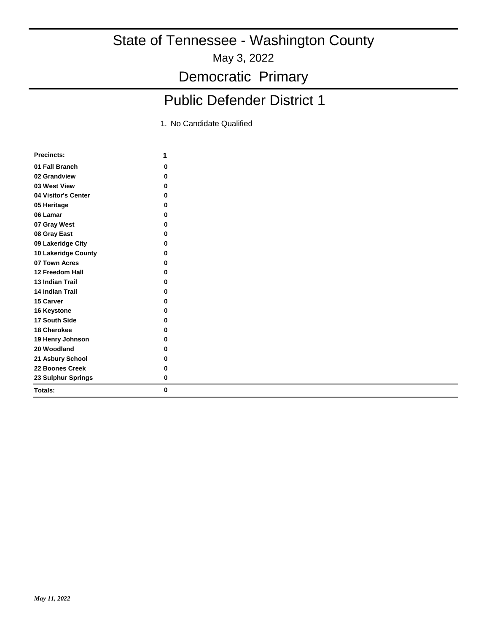May 3, 2022

Democratic Primary

## Public Defender District 1

| <b>Precincts:</b>      | 1 |
|------------------------|---|
| 01 Fall Branch         | 0 |
| 02 Grandview           | 0 |
| 03 West View           | 0 |
| 04 Visitor's Center    | 0 |
| 05 Heritage            | O |
| 06 Lamar               | ŋ |
| 07 Gray West           | 0 |
| 08 Gray East           | 0 |
| 09 Lakeridge City      | ŋ |
| 10 Lakeridge County    | 0 |
| 07 Town Acres          | ŋ |
| 12 Freedom Hall        | 0 |
| <b>13 Indian Trail</b> | 0 |
| <b>14 Indian Trail</b> | ŋ |
| 15 Carver              | ŋ |
| 16 Keystone            | O |
| 17 South Side          | ŋ |
| 18 Cherokee            | 0 |
| 19 Henry Johnson       | 0 |
| 20 Woodland            | 0 |
| 21 Asbury School       | 0 |
| 22 Boones Creek        | 0 |
| 23 Sulphur Springs     | 0 |
| Totals:                | 0 |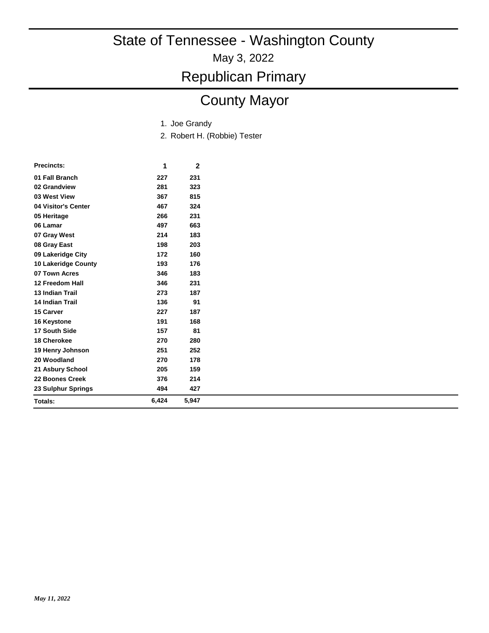May 3, 2022

Republican Primary

## County Mayor

- 1. Joe Grandy
- 2. Robert H. (Robbie) Tester

| 01 Fall Branch<br>231<br>227<br>02 Grandview<br>281<br>323<br>03 West View<br>815<br>367<br>04 Visitor's Center<br>467<br>324<br>05 Heritage<br>231<br>266<br>06 Lamar<br>663<br>497<br>183<br>07 Gray West<br>214<br>198<br>203<br>08 Gray East<br>09 Lakeridge City<br>172<br>160<br><b>10 Lakeridge County</b><br>193<br>176<br>07 Town Acres<br>346<br>183<br>12 Freedom Hall<br>346<br>231<br><b>13 Indian Trail</b><br>273<br>187<br><b>14 Indian Trail</b><br>136<br>91<br>187<br>15 Carver<br>227<br>191<br>168<br>16 Keystone<br>17 South Side<br>157<br>81<br><b>18 Cherokee</b><br>270<br>280<br>251<br>252<br>19 Henry Johnson<br>20 Woodland<br>270<br>178<br>205<br>159<br>21 Asbury School<br>22 Boones Creek<br>376<br>214<br>494<br>23 Sulphur Springs<br>427<br>6,424<br>5,947<br>Totals: | <b>Precincts:</b> | 1 | 2 |  |
|-------------------------------------------------------------------------------------------------------------------------------------------------------------------------------------------------------------------------------------------------------------------------------------------------------------------------------------------------------------------------------------------------------------------------------------------------------------------------------------------------------------------------------------------------------------------------------------------------------------------------------------------------------------------------------------------------------------------------------------------------------------------------------------------------------------|-------------------|---|---|--|
|                                                                                                                                                                                                                                                                                                                                                                                                                                                                                                                                                                                                                                                                                                                                                                                                             |                   |   |   |  |
|                                                                                                                                                                                                                                                                                                                                                                                                                                                                                                                                                                                                                                                                                                                                                                                                             |                   |   |   |  |
|                                                                                                                                                                                                                                                                                                                                                                                                                                                                                                                                                                                                                                                                                                                                                                                                             |                   |   |   |  |
|                                                                                                                                                                                                                                                                                                                                                                                                                                                                                                                                                                                                                                                                                                                                                                                                             |                   |   |   |  |
|                                                                                                                                                                                                                                                                                                                                                                                                                                                                                                                                                                                                                                                                                                                                                                                                             |                   |   |   |  |
|                                                                                                                                                                                                                                                                                                                                                                                                                                                                                                                                                                                                                                                                                                                                                                                                             |                   |   |   |  |
|                                                                                                                                                                                                                                                                                                                                                                                                                                                                                                                                                                                                                                                                                                                                                                                                             |                   |   |   |  |
|                                                                                                                                                                                                                                                                                                                                                                                                                                                                                                                                                                                                                                                                                                                                                                                                             |                   |   |   |  |
|                                                                                                                                                                                                                                                                                                                                                                                                                                                                                                                                                                                                                                                                                                                                                                                                             |                   |   |   |  |
|                                                                                                                                                                                                                                                                                                                                                                                                                                                                                                                                                                                                                                                                                                                                                                                                             |                   |   |   |  |
|                                                                                                                                                                                                                                                                                                                                                                                                                                                                                                                                                                                                                                                                                                                                                                                                             |                   |   |   |  |
|                                                                                                                                                                                                                                                                                                                                                                                                                                                                                                                                                                                                                                                                                                                                                                                                             |                   |   |   |  |
|                                                                                                                                                                                                                                                                                                                                                                                                                                                                                                                                                                                                                                                                                                                                                                                                             |                   |   |   |  |
|                                                                                                                                                                                                                                                                                                                                                                                                                                                                                                                                                                                                                                                                                                                                                                                                             |                   |   |   |  |
|                                                                                                                                                                                                                                                                                                                                                                                                                                                                                                                                                                                                                                                                                                                                                                                                             |                   |   |   |  |
|                                                                                                                                                                                                                                                                                                                                                                                                                                                                                                                                                                                                                                                                                                                                                                                                             |                   |   |   |  |
|                                                                                                                                                                                                                                                                                                                                                                                                                                                                                                                                                                                                                                                                                                                                                                                                             |                   |   |   |  |
|                                                                                                                                                                                                                                                                                                                                                                                                                                                                                                                                                                                                                                                                                                                                                                                                             |                   |   |   |  |
|                                                                                                                                                                                                                                                                                                                                                                                                                                                                                                                                                                                                                                                                                                                                                                                                             |                   |   |   |  |
|                                                                                                                                                                                                                                                                                                                                                                                                                                                                                                                                                                                                                                                                                                                                                                                                             |                   |   |   |  |
|                                                                                                                                                                                                                                                                                                                                                                                                                                                                                                                                                                                                                                                                                                                                                                                                             |                   |   |   |  |
|                                                                                                                                                                                                                                                                                                                                                                                                                                                                                                                                                                                                                                                                                                                                                                                                             |                   |   |   |  |
|                                                                                                                                                                                                                                                                                                                                                                                                                                                                                                                                                                                                                                                                                                                                                                                                             |                   |   |   |  |
|                                                                                                                                                                                                                                                                                                                                                                                                                                                                                                                                                                                                                                                                                                                                                                                                             |                   |   |   |  |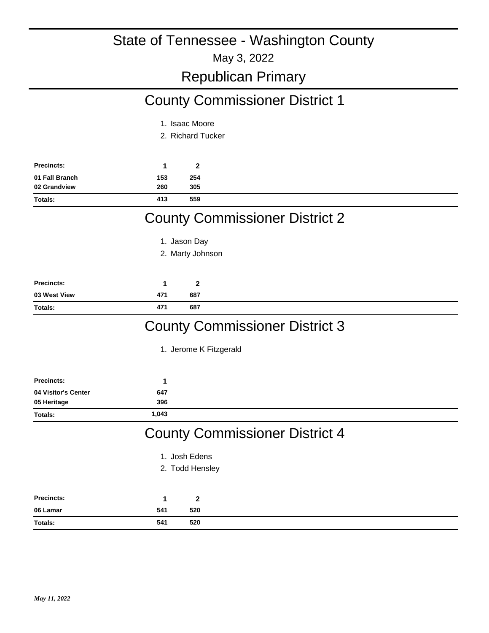May 3, 2022

#### Republican Primary

## County Commissioner District 1

- 1. Isaac Moore
- 2. Richard Tucker

| <b>Precincts:</b> |     |     |
|-------------------|-----|-----|
| 01 Fall Branch    | 153 | 254 |
| 02 Grandview      | 260 | 305 |
| <b>Totals:</b>    | 413 | 559 |

## County Commissioner District 2

- 1. Jason Day
- 2. Marty Johnson

| <b>Precincts:</b> |     | ◠   |
|-------------------|-----|-----|
| 03 West View      | 471 | 687 |
| Totals:           | 471 | 687 |

## County Commissioner District 3

1. Jerome K Fitzgerald

| <b>Precincts:</b>   | 1     |                 |                                       |  |
|---------------------|-------|-----------------|---------------------------------------|--|
| 04 Visitor's Center | 647   |                 |                                       |  |
| 05 Heritage         | 396   |                 |                                       |  |
| Totals:             | 1,043 |                 |                                       |  |
|                     |       |                 | <b>County Commissioner District 4</b> |  |
|                     |       | 1. Josh Edens   |                                       |  |
|                     |       | 2. Todd Hensley |                                       |  |
| <b>Precincts:</b>   | 1     | $\mathbf{2}$    |                                       |  |
| 06 Lamar            | 541   | 520             |                                       |  |
| Totals:             | 541   | 520             |                                       |  |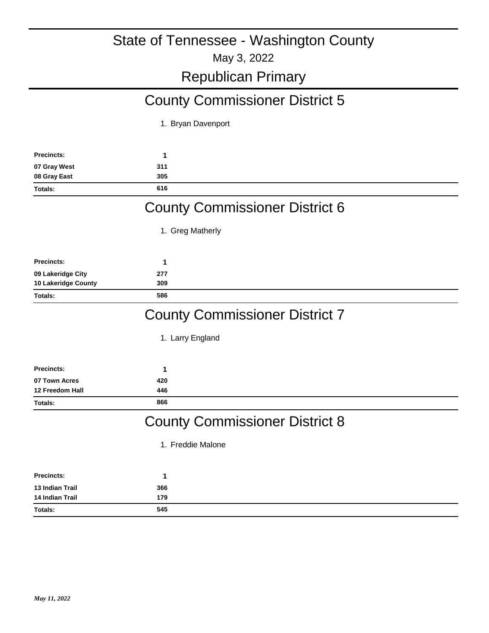## Republican Primary

## County Commissioner District 5

1. Bryan Davenport

| <b>Precincts:</b>      | 1                                                         |  |
|------------------------|-----------------------------------------------------------|--|
| 07 Gray West           | 311                                                       |  |
| 08 Gray East           | 305                                                       |  |
| Totals:                | 616                                                       |  |
|                        | <b>County Commissioner District 6</b>                     |  |
|                        | 1. Greg Matherly                                          |  |
| <b>Precincts:</b>      | 1                                                         |  |
| 09 Lakeridge City      | 277                                                       |  |
| 10 Lakeridge County    | 309                                                       |  |
| Totals:                | 586                                                       |  |
|                        | <b>County Commissioner District 7</b><br>1. Larry England |  |
| <b>Precincts:</b>      | 1                                                         |  |
| 07 Town Acres          | 420                                                       |  |
| 12 Freedom Hall        | 446                                                       |  |
| Totals:                | 866                                                       |  |
|                        | <b>County Commissioner District 8</b>                     |  |
|                        | 1. Freddie Malone                                         |  |
| <b>Precincts:</b>      | 1                                                         |  |
| 13 Indian Trail        | 366                                                       |  |
| <b>14 Indian Trail</b> | 179                                                       |  |
| Totals:                | 545                                                       |  |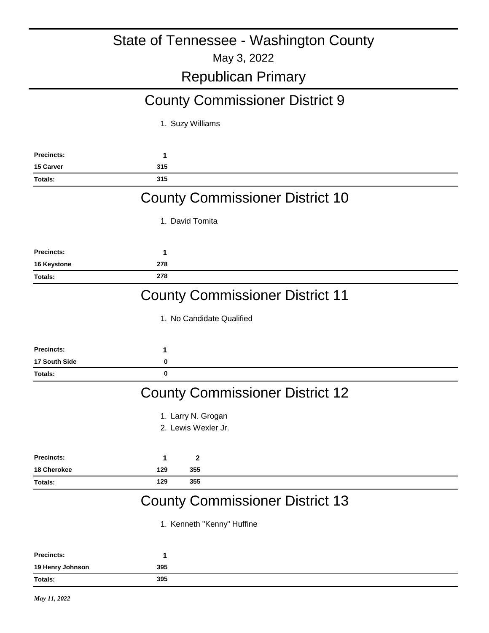## Republican Primary

## County Commissioner District 9

1. Suzy Williams

| <b>Precincts:</b>  | 1                                                                    |
|--------------------|----------------------------------------------------------------------|
| 15 Carver          | 315                                                                  |
| Totals:            | 315                                                                  |
|                    | <b>County Commissioner District 10</b>                               |
|                    | 1. David Tomita                                                      |
| <b>Precincts:</b>  | 1                                                                    |
| 16 Keystone        | 278                                                                  |
| Totals:            | 278                                                                  |
|                    | <b>County Commissioner District 11</b>                               |
|                    | 1. No Candidate Qualified                                            |
| <b>Precincts:</b>  | 1                                                                    |
| 17 South Side      | 0                                                                    |
| Totals:            | $\bf{0}$                                                             |
|                    | <b>County Commissioner District 12</b>                               |
|                    | 1. Larry N. Grogan                                                   |
|                    | 2. Lewis Wexler Jr.                                                  |
| <b>Precincts:</b>  | $\mathbf{2}$<br>1                                                    |
| <b>18 Cherokee</b> | 129<br>355                                                           |
| Totals:            | 129<br>355                                                           |
|                    | <b>County Commissioner District 13</b><br>1. Kenneth "Kenny" Huffine |

| Precincts:       |     |  |  |
|------------------|-----|--|--|
| 19 Henry Johnson | 395 |  |  |
| Totals:          | 395 |  |  |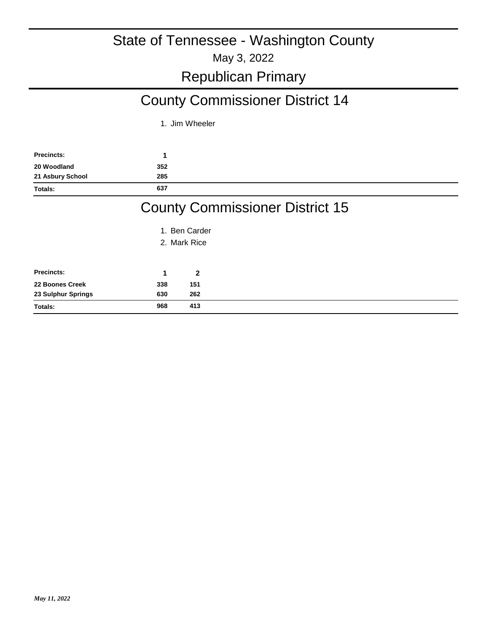## County Commissioner District 14

1. Jim Wheeler

| <b>Precincts:</b> |     |  |  |
|-------------------|-----|--|--|
| 20 Woodland       | 352 |  |  |
| 21 Asbury School  | 285 |  |  |
| Totals:           | 637 |  |  |
|                   |     |  |  |

### County Commissioner District 15

- 1. Ben Carder
- 2. Mark Rice

| <b>Precincts:</b>  |     |     |
|--------------------|-----|-----|
| 22 Boones Creek    | 338 | 151 |
| 23 Sulphur Springs | 630 | 262 |
| <b>Totals:</b>     | 968 | 413 |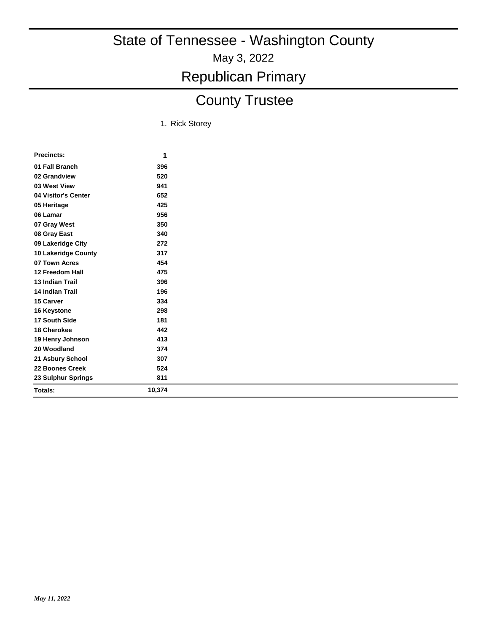## County Trustee

1. Rick Storey

| <b>Precincts:</b>      | 1      |
|------------------------|--------|
| 01 Fall Branch         | 396    |
| 02 Grandview           | 520    |
| 03 West View           | 941    |
| 04 Visitor's Center    | 652    |
| 05 Heritage            | 425    |
| 06 Lamar               | 956    |
| 07 Gray West           | 350    |
| 08 Gray East           | 340    |
| 09 Lakeridge City      | 272    |
| 10 Lakeridge County    | 317    |
| 07 Town Acres          | 454    |
| 12 Freedom Hall        | 475    |
| <b>13 Indian Trail</b> | 396    |
| <b>14 Indian Trail</b> | 196    |
| 15 Carver              | 334    |
| 16 Keystone            | 298    |
| 17 South Side          | 181    |
| 18 Cherokee            | 442    |
| 19 Henry Johnson       | 413    |
| 20 Woodland            | 374    |
| 21 Asbury School       | 307    |
| 22 Boones Creek        | 524    |
| 23 Sulphur Springs     | 811    |
| Totals:                | 10,374 |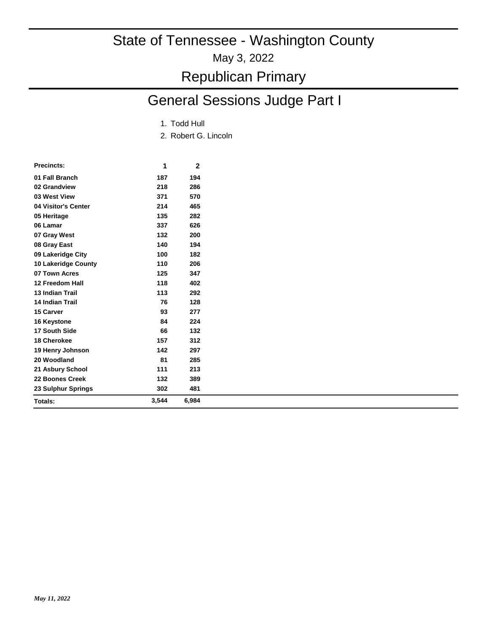May 3, 2022

## Republican Primary

## General Sessions Judge Part I

- 1. Todd Hull
- 2. Robert G. Lincoln

| Precincts:                 | 1     | $\mathbf{2}$ |  |
|----------------------------|-------|--------------|--|
| 01 Fall Branch             | 187   | 194          |  |
| 02 Grandview               | 218   | 286          |  |
| 03 West View               | 371   | 570          |  |
| 04 Visitor's Center        | 214   | 465          |  |
| 05 Heritage                | 135   | 282          |  |
| 06 Lamar                   | 337   | 626          |  |
| 07 Gray West               | 132   | 200          |  |
| 08 Gray East               | 140   | 194          |  |
| 09 Lakeridge City          | 100   | 182          |  |
| <b>10 Lakeridge County</b> | 110   | 206          |  |
| 07 Town Acres              | 125   | 347          |  |
| 12 Freedom Hall            | 118   | 402          |  |
| <b>13 Indian Trail</b>     | 113   | 292          |  |
| <b>14 Indian Trail</b>     | 76    | 128          |  |
| 15 Carver                  | 93    | 277          |  |
| 16 Keystone                | 84    | 224          |  |
| 17 South Side              | 66    | 132          |  |
| 18 Cherokee                | 157   | 312          |  |
| 19 Henry Johnson           | 142   | 297          |  |
| 20 Woodland                | 81    | 285          |  |
| 21 Asbury School           | 111   | 213          |  |
| 22 Boones Creek            | 132   | 389          |  |
| 23 Sulphur Springs         | 302   | 481          |  |
| Totals:                    | 3,544 | 6,984        |  |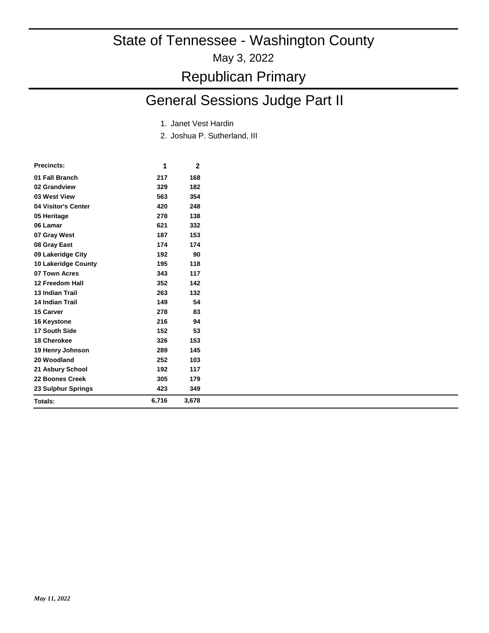## Republican Primary

## General Sessions Judge Part II

- 1. Janet Vest Hardin
- 2. Joshua P. Sutherland, III

| <b>Precincts:</b>          | 1     | 2     |  |
|----------------------------|-------|-------|--|
| 01 Fall Branch             | 217   | 168   |  |
| 02 Grandview               | 329   | 182   |  |
| 03 West View               | 563   | 354   |  |
| 04 Visitor's Center        | 420   | 248   |  |
| 05 Heritage                | 278   | 138   |  |
| 06 Lamar                   | 621   | 332   |  |
| 07 Gray West               | 187   | 153   |  |
| 08 Gray East               | 174   | 174   |  |
| 09 Lakeridge City          | 192   | 90    |  |
| <b>10 Lakeridge County</b> | 195   | 118   |  |
| 07 Town Acres              | 343   | 117   |  |
| 12 Freedom Hall            | 352   | 142   |  |
| <b>13 Indian Trail</b>     | 263   | 132   |  |
| <b>14 Indian Trail</b>     | 149   | 54    |  |
| 15 Carver                  | 278   | 83    |  |
| 16 Keystone                | 216   | 94    |  |
| 17 South Side              | 152   | 53    |  |
| 18 Cherokee                | 326   | 153   |  |
| 19 Henry Johnson           | 289   | 145   |  |
| 20 Woodland                | 252   | 103   |  |
| 21 Asbury School           | 192   | 117   |  |
| 22 Boones Creek            | 305   | 179   |  |
| 23 Sulphur Springs         | 423   | 349   |  |
| Totals:                    | 6,716 | 3,678 |  |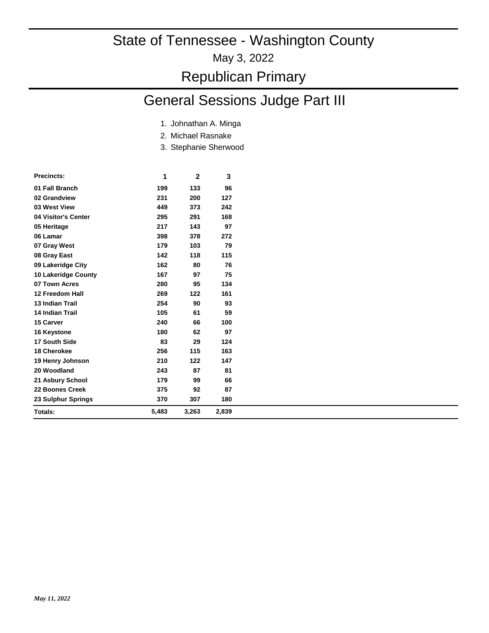#### May 3, 2022

### Republican Primary

## General Sessions Judge Part III

- 1. Johnathan A. Minga
- 2. Michael Rasnake
- Stephanie Sherwood 3.

| <b>Precincts:</b>      | 1     | $\mathbf{2}$ | 3     |
|------------------------|-------|--------------|-------|
| 01 Fall Branch         | 199   | 133          | 96    |
| 02 Grandview           | 231   | 200          | 127   |
| 03 West View           | 449   | 373          | 242   |
| 04 Visitor's Center    | 295   | 291          | 168   |
| 05 Heritage            | 217   | 143          | 97    |
| 06 Lamar               | 398   | 378          | 272   |
| 07 Gray West           | 179   | 103          | 79    |
| 08 Gray East           | 142   | 118          | 115   |
| 09 Lakeridge City      | 162   | 80           | 76    |
| 10 Lakeridge County    | 167   | 97           | 75    |
| 07 Town Acres          | 280   | 95           | 134   |
| 12 Freedom Hall        | 269   | 122          | 161   |
| 13 Indian Trail        | 254   | 90           | 93    |
| <b>14 Indian Trail</b> | 105   | 61           | 59    |
| 15 Carver              | 240   | 66           | 100   |
| 16 Keystone            | 180   | 62           | 97    |
| 17 South Side          | 83    | 29           | 124   |
| 18 Cherokee            | 256   | 115          | 163   |
| 19 Henry Johnson       | 210   | 122          | 147   |
| 20 Woodland            | 243   | 87           | 81    |
| 21 Asbury School       | 179   | 99           | 66    |
| 22 Boones Creek        | 375   | 92           | 87    |
| 23 Sulphur Springs     | 370   | 307          | 180   |
| Totals:                | 5,483 | 3,263        | 2,839 |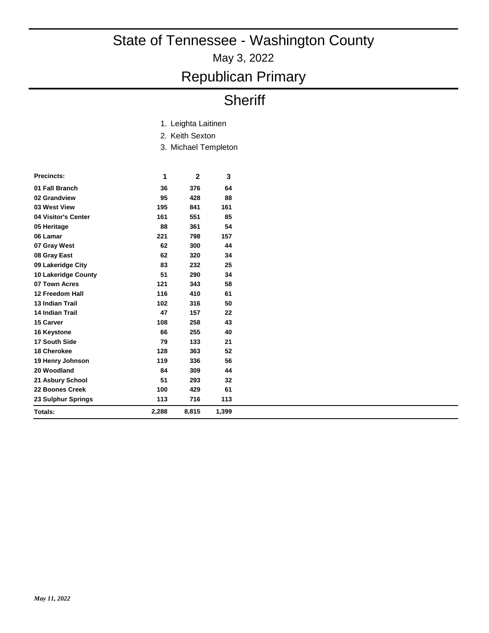May 3, 2022

## Republican Primary

## **Sheriff**

| 1. Leighta Laitinen |
|---------------------|
| 2. Keith Sexton     |

3. Michael Templeton

| <b>Precincts:</b>      | 1     | $\mathbf{2}$ | 3     |
|------------------------|-------|--------------|-------|
| 01 Fall Branch         | 36    | 376          | 64    |
| 02 Grandview           | 95    | 428          | 88    |
| 03 West View           | 195   | 841          | 161   |
| 04 Visitor's Center    | 161   | 551          | 85    |
| 05 Heritage            | 88    | 361          | 54    |
| 06 Lamar               | 221   | 798          | 157   |
| 07 Gray West           | 62    | 300          | 44    |
| 08 Gray East           | 62    | 320          | 34    |
| 09 Lakeridge City      | 83    | 232          | 25    |
| 10 Lakeridge County    | 51    | 290          | 34    |
| 07 Town Acres          | 121   | 343          | 58    |
| 12 Freedom Hall        | 116   | 410          | 61    |
| <b>13 Indian Trail</b> | 102   | 316          | 50    |
| <b>14 Indian Trail</b> | 47    | 157          | 22    |
| 15 Carver              | 108   | 258          | 43    |
| 16 Keystone            | 66    | 255          | 40    |
| 17 South Side          | 79    | 133          | 21    |
| <b>18 Cherokee</b>     | 128   | 363          | 52    |
| 19 Henry Johnson       | 119   | 336          | 56    |
| 20 Woodland            | 84    | 309          | 44    |
| 21 Asbury School       | 51    | 293          | 32    |
| 22 Boones Creek        | 100   | 429          | 61    |
| 23 Sulphur Springs     | 113   | 716          | 113   |
| Totals:                | 2,288 | 8,815        | 1,399 |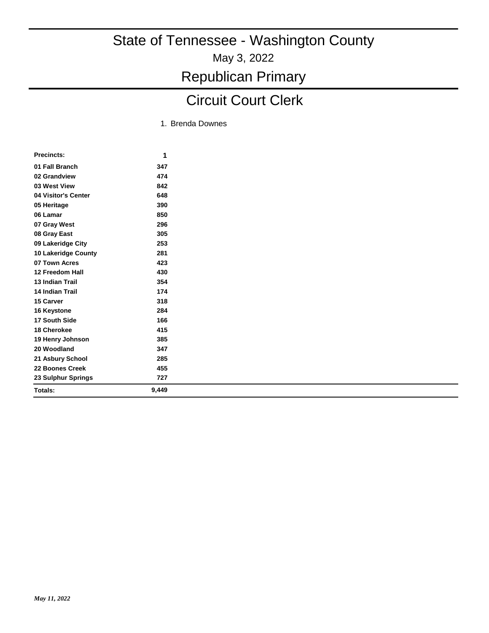### Circuit Court Clerk

1. Brenda Downes

| <b>Precincts:</b>          | 1     |
|----------------------------|-------|
| 01 Fall Branch             | 347   |
| 02 Grandview               | 474   |
| 03 West View               | 842   |
| 04 Visitor's Center        | 648   |
| 05 Heritage                | 390   |
| 06 Lamar                   | 850   |
| 07 Gray West               | 296   |
| 08 Gray East               | 305   |
| 09 Lakeridge City          | 253   |
| <b>10 Lakeridge County</b> | 281   |
| 07 Town Acres              | 423   |
| 12 Freedom Hall            | 430   |
| <b>13 Indian Trail</b>     | 354   |
| 14 Indian Trail            | 174   |
| 15 Carver                  | 318   |
| 16 Keystone                | 284   |
| 17 South Side              | 166   |
| 18 Cherokee                | 415   |
| 19 Henry Johnson           | 385   |
| 20 Woodland                | 347   |
| 21 Asbury School           | 285   |
| 22 Boones Creek            | 455   |
| 23 Sulphur Springs         | 727   |
| Totals:                    | 9,449 |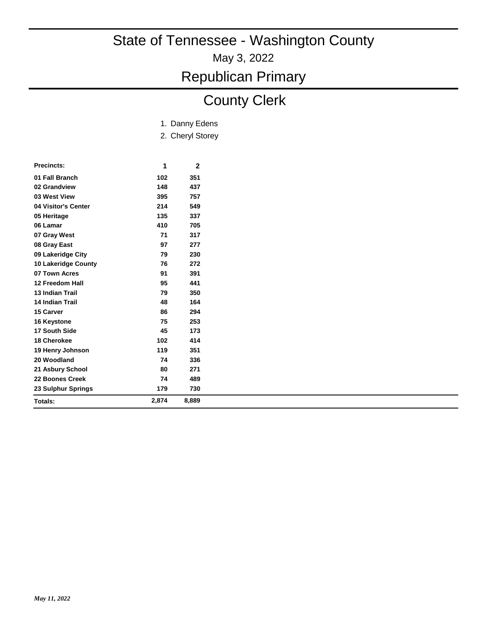May 3, 2022

Republican Primary

## County Clerk

|  | 1. Danny Edens |  |
|--|----------------|--|
|--|----------------|--|

2. Cheryl Storey

| <b>Precincts:</b>   | 1     | 2     |
|---------------------|-------|-------|
| 01 Fall Branch      | 102   | 351   |
| 02 Grandview        | 148   | 437   |
| 03 West View        | 395   | 757   |
| 04 Visitor's Center | 214   | 549   |
| 05 Heritage         | 135   | 337   |
| 06 Lamar            | 410   | 705   |
| 07 Gray West        | 71    | 317   |
| 08 Gray East        | 97    | 277   |
| 09 Lakeridge City   | 79    | 230   |
| 10 Lakeridge County | 76    | 272   |
| 07 Town Acres       | 91    | 391   |
| 12 Freedom Hall     | 95    | 441   |
| 13 Indian Trail     | 79    | 350   |
| 14 Indian Trail     | 48    | 164   |
| 15 Carver           | 86    | 294   |
| 16 Keystone         | 75    | 253   |
| 17 South Side       | 45    | 173   |
| 18 Cherokee         | 102   | 414   |
| 19 Henry Johnson    | 119   | 351   |
| 20 Woodland         | 74    | 336   |
| 21 Asbury School    | 80    | 271   |
| 22 Boones Creek     | 74    | 489   |
| 23 Sulphur Springs  | 179   | 730   |
| Totals:             | 2,874 | 8,889 |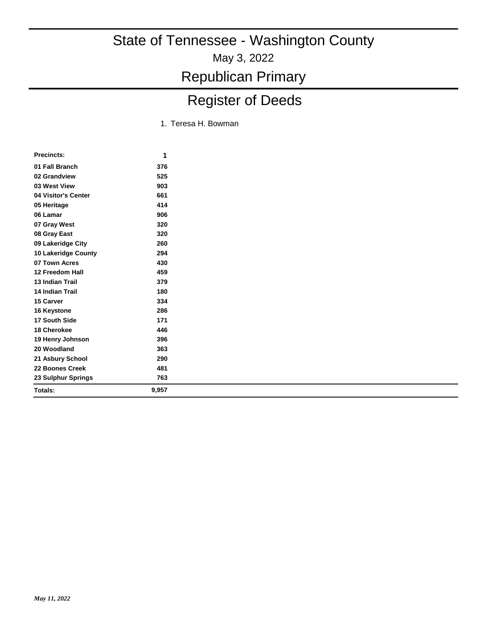# Register of Deeds

1. Teresa H. Bowman

| <b>Precincts:</b>      | 1     |
|------------------------|-------|
| 01 Fall Branch         | 376   |
| 02 Grandview           | 525   |
| 03 West View           | 903   |
| 04 Visitor's Center    | 661   |
| 05 Heritage            | 414   |
| 06 Lamar               | 906   |
| 07 Gray West           | 320   |
| 08 Gray East           | 320   |
| 09 Lakeridge City      | 260   |
| 10 Lakeridge County    | 294   |
| 07 Town Acres          | 430   |
| 12 Freedom Hall        | 459   |
| 13 Indian Trail        | 379   |
| <b>14 Indian Trail</b> | 180   |
| 15 Carver              | 334   |
| 16 Keystone            | 286   |
| 17 South Side          | 171   |
| 18 Cherokee            | 446   |
| 19 Henry Johnson       | 396   |
| 20 Woodland            | 363   |
| 21 Asbury School       | 290   |
| 22 Boones Creek        | 481   |
| 23 Sulphur Springs     | 763   |
| Totals:                | 9,957 |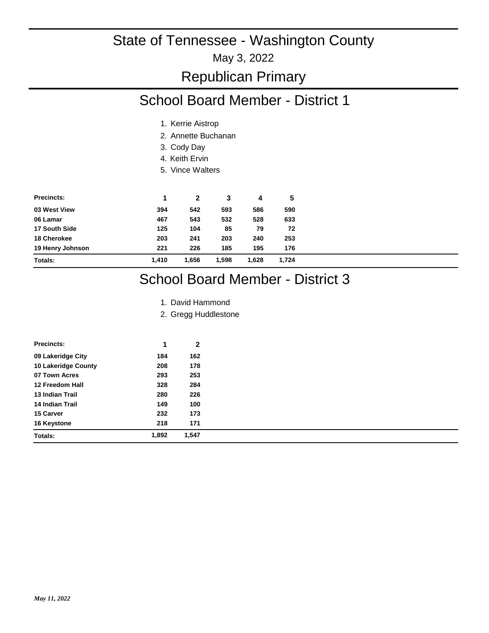## Republican Primary

### School Board Member - District 1

- 1. Kerrie Aistrop
- 2. Annette Buchanan
- 3. Cody Day
- 4. Keith Ervin
- 5. Vince Walters

| <b>Precincts:</b> | 1     | 2     | 3     | 4     | 5     |
|-------------------|-------|-------|-------|-------|-------|
| 03 West View      | 394   | 542   | 593   | 586   | 590   |
| 06 Lamar          | 467   | 543   | 532   | 528   | 633   |
| 17 South Side     | 125   | 104   | 85    | 79    | 72    |
| 18 Cherokee       | 203   | 241   | 203   | 240   | 253   |
| 19 Henry Johnson  | 221   | 226   | 185   | 195   | 176   |
| Totals:           | 1.410 | 1.656 | 1.598 | 1.628 | 1.724 |

## School Board Member - District 3

- 1. David Hammond
- 2. Gregg Huddlestone

| <b>Precincts:</b>      | 1     | $\mathbf{2}$ |
|------------------------|-------|--------------|
| 09 Lakeridge City      | 184   | 162          |
| 10 Lakeridge County    | 208   | 178          |
| 07 Town Acres          | 293   | 253          |
| 12 Freedom Hall        | 328   | 284          |
| 13 Indian Trail        | 280   | 226          |
| <b>14 Indian Trail</b> | 149   | 100          |
| 15 Carver              | 232   | 173          |
| 16 Keystone            | 218   | 171          |
| <b>Totals:</b>         | 1,892 | 1,547        |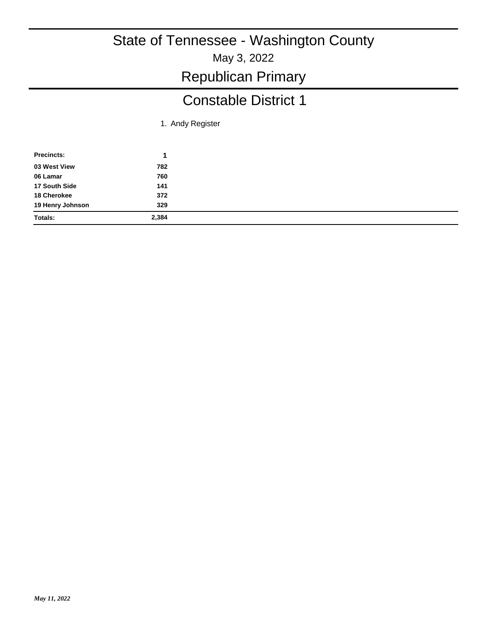### Constable District 1

1. Andy Register

| <b>Precincts:</b> |       |
|-------------------|-------|
| 03 West View      | 782   |
| 06 Lamar          | 760   |
| 17 South Side     | 141   |
| 18 Cherokee       | 372   |
| 19 Henry Johnson  | 329   |
| Totals:           | 2,384 |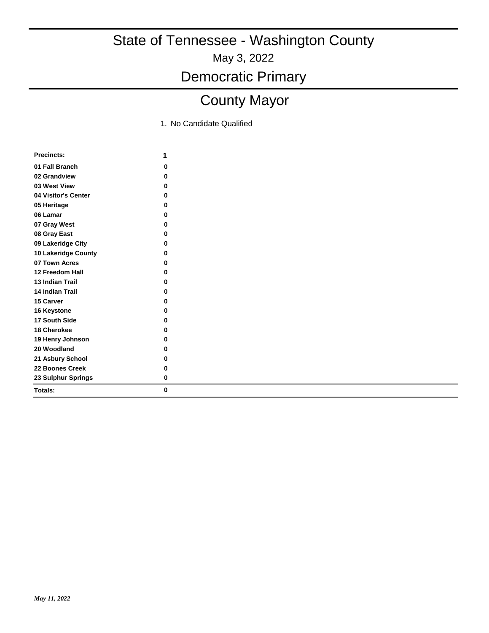Democratic Primary

## County Mayor

| <b>Precincts:</b>      | 1 |
|------------------------|---|
| 01 Fall Branch         | 0 |
| 02 Grandview           | 0 |
| 03 West View           | 0 |
| 04 Visitor's Center    | 0 |
| 05 Heritage            | 0 |
| 06 Lamar               | ŋ |
| 07 Gray West           | 0 |
| 08 Gray East           | 0 |
| 09 Lakeridge City      | O |
| 10 Lakeridge County    | ŋ |
| 07 Town Acres          | 0 |
| 12 Freedom Hall        | 0 |
| <b>13 Indian Trail</b> | O |
| 14 Indian Trail        | O |
| 15 Carver              | O |
| 16 Keystone            | O |
| 17 South Side          | O |
| 18 Cherokee            | 0 |
| 19 Henry Johnson       | 0 |
| 20 Woodland            | 0 |
| 21 Asbury School       | 0 |
| 22 Boones Creek        | 0 |
| 23 Sulphur Springs     | 0 |
| Totals:                | 0 |
|                        |   |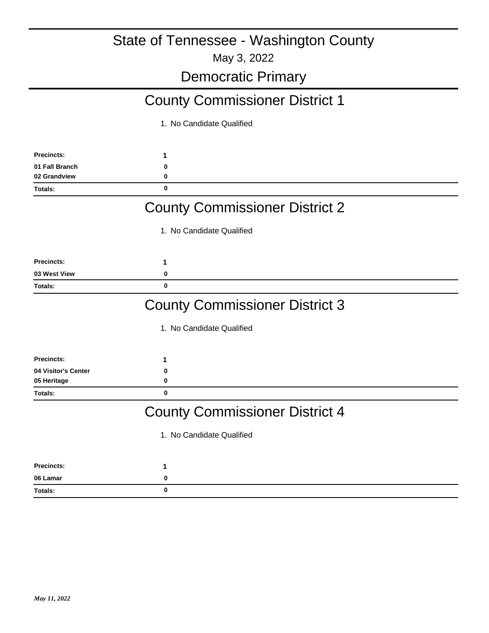May 3, 2022

#### Democratic Primary

### County Commissioner District 1

1. No Candidate Qualified

| <b>Precincts:</b> |  |
|-------------------|--|
| 01 Fall Branch    |  |
| 02 Grandview      |  |
| Totals:           |  |

#### County Commissioner District 2

1. No Candidate Qualified

| <b>Precincts:</b> |  |
|-------------------|--|
| 03 West View      |  |
| Totals:           |  |

#### County Commissioner District 3

1. No Candidate Qualified

| Precincts:          |  |
|---------------------|--|
| 04 Visitor's Center |  |
| 05 Heritage         |  |
| <b>Totals:</b>      |  |

### County Commissioner District 4

| <b>Precincts:</b> |  |
|-------------------|--|
| 06 Lamar          |  |
| Totals:           |  |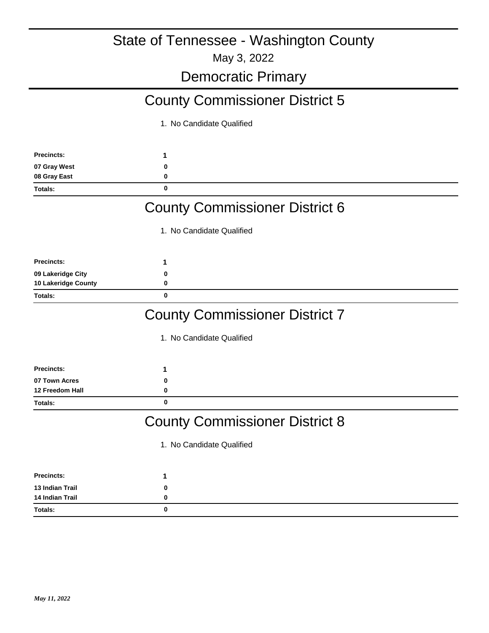May 3, 2022

#### Democratic Primary

## County Commissioner District 5

1. No Candidate Qualified

| <b>Precincts:</b> |  |
|-------------------|--|
| 07 Gray West      |  |
| 08 Gray East      |  |
| <b>Totals:</b>    |  |

#### County Commissioner District 6

1. No Candidate Qualified

| <b>Precincts:</b>   |  |
|---------------------|--|
| 09 Lakeridge City   |  |
| 10 Lakeridge County |  |
| Totals:             |  |

#### County Commissioner District 7

1. No Candidate Qualified

| <b>Precincts:</b> |  |
|-------------------|--|
| 07 Town Acres     |  |
| 12 Freedom Hall   |  |
| <b>Totals:</b>    |  |

#### County Commissioner District 8

| <b>Precincts:</b> |   |  |
|-------------------|---|--|
| 13 Indian Trail   | 0 |  |
| 14 Indian Trail   | 0 |  |
| Totals:           | 0 |  |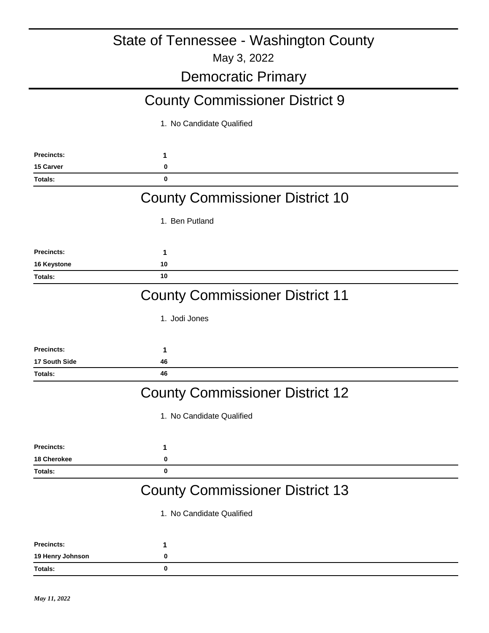## Democratic Primary

## County Commissioner District 9

| <b>Precincts:</b>    | 1                                      |
|----------------------|----------------------------------------|
| 15 Carver            | 0                                      |
| Totals:              | $\bf{0}$                               |
|                      | <b>County Commissioner District 10</b> |
|                      | 1. Ben Putland                         |
| <b>Precincts:</b>    | 1                                      |
| 16 Keystone          | 10                                     |
| Totals:              | 10                                     |
|                      | <b>County Commissioner District 11</b> |
|                      | 1. Jodi Jones                          |
| <b>Precincts:</b>    | 1                                      |
| <b>17 South Side</b> | 46                                     |
| Totals:              | 46                                     |
|                      | <b>County Commissioner District 12</b> |
|                      | 1. No Candidate Qualified              |
| <b>Precincts:</b>    | 1                                      |
| 18 Cherokee          | 0                                      |
| <b>Totals:</b>       | $\bf{0}$                               |
|                      | <b>County Commissioner District 13</b> |
|                      | 1. No Candidate Qualified              |
| <b>Precincts:</b>    | 1                                      |
| 19 Henry Johnson     | 0                                      |
| Totals:              | 0                                      |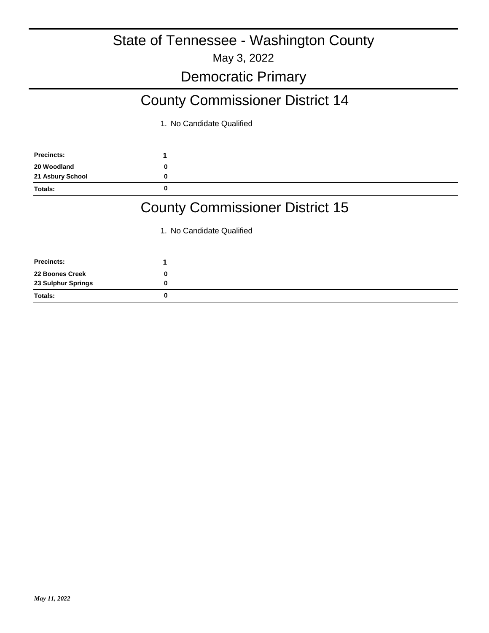### Democratic Primary

## County Commissioner District 14

1. No Candidate Qualified

| <b>Precincts:</b> |   |
|-------------------|---|
| 20 Woodland       |   |
| 21 Asbury School  |   |
| <b>Totals:</b>    | O |

### County Commissioner District 15

| <b>Precincts:</b>  |  |
|--------------------|--|
| 22 Boones Creek    |  |
| 23 Sulphur Springs |  |
| Totals:            |  |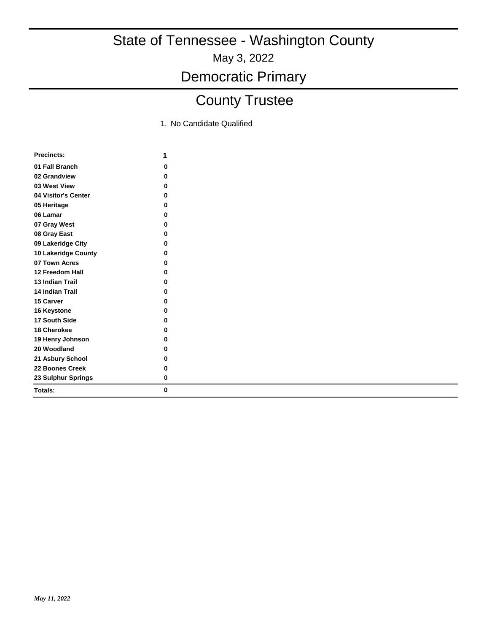Democratic Primary

## County Trustee

| <b>Precincts:</b>      | 1 |
|------------------------|---|
| 01 Fall Branch         | 0 |
| 02 Grandview           | 0 |
| 03 West View           | 0 |
| 04 Visitor's Center    | 0 |
| 05 Heritage            | 0 |
| 06 Lamar               | ŋ |
| 07 Gray West           | O |
| 08 Gray East           | O |
| 09 Lakeridge City      | O |
| 10 Lakeridge County    | O |
| 07 Town Acres          | ŋ |
| 12 Freedom Hall        | 0 |
| <b>13 Indian Trail</b> | ŋ |
| <b>14 Indian Trail</b> | O |
| <b>15 Carver</b>       | ŋ |
| 16 Keystone            | O |
| 17 South Side          | O |
| 18 Cherokee            | O |
| 19 Henry Johnson       | 0 |
| 20 Woodland            | 0 |
| 21 Asbury School       | 0 |
| 22 Boones Creek        | 0 |
| 23 Sulphur Springs     | 0 |
| Totals:                | 0 |
|                        |   |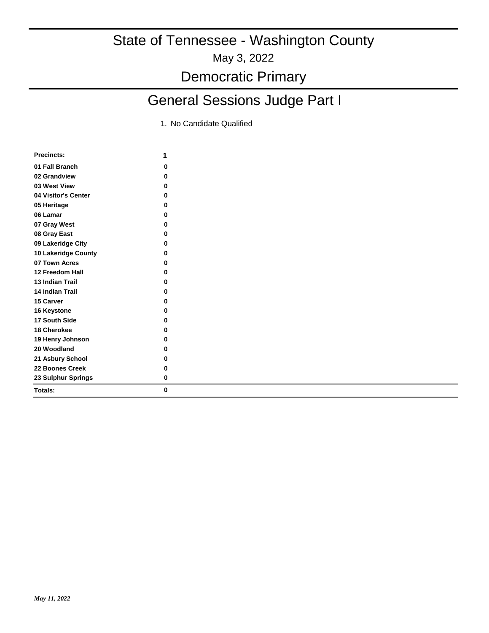## General Sessions Judge Part I

| <b>Precincts:</b>      | 1 |
|------------------------|---|
| 01 Fall Branch         | 0 |
| 02 Grandview           | 0 |
| 03 West View           | 0 |
| 04 Visitor's Center    | 0 |
| 05 Heritage            | 0 |
| 06 Lamar               | ŋ |
| 07 Gray West           | 0 |
| 08 Gray East           | 0 |
| 09 Lakeridge City      | O |
| 10 Lakeridge County    | 0 |
| 07 Town Acres          | 0 |
| 12 Freedom Hall        | 0 |
| <b>13 Indian Trail</b> | ŋ |
| <b>14 Indian Trail</b> | 0 |
| <b>15 Carver</b>       | ŋ |
| 16 Keystone            | O |
| 17 South Side          | 0 |
| 18 Cherokee            | 0 |
| 19 Henry Johnson       | 0 |
| 20 Woodland            | ŋ |
| 21 Asbury School       | 0 |
| 22 Boones Creek        | 0 |
| 23 Sulphur Springs     | 0 |
| Totals:                | 0 |
|                        |   |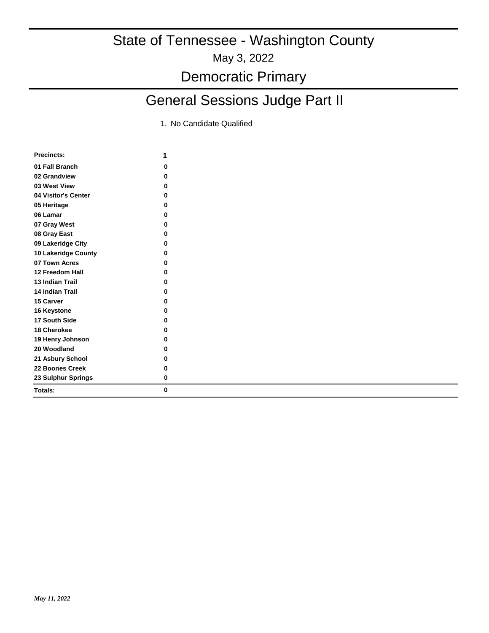## General Sessions Judge Part II

| <b>Precincts:</b>      | 1 |
|------------------------|---|
| 01 Fall Branch         | 0 |
| 02 Grandview           | O |
| 03 West View           | 0 |
| 04 Visitor's Center    | 0 |
| 05 Heritage            | 0 |
| 06 Lamar               | 0 |
| 07 Gray West           | ŋ |
| 08 Gray East           | ŋ |
| 09 Lakeridge City      | 0 |
| 10 Lakeridge County    | 0 |
| 07 Town Acres          | 0 |
| 12 Freedom Hall        | 0 |
| <b>13 Indian Trail</b> | 0 |
| <b>14 Indian Trail</b> | 0 |
| 15 Carver              | ŋ |
| 16 Keystone            | O |
| 17 South Side          | 0 |
| 18 Cherokee            | 0 |
| 19 Henry Johnson       | 0 |
| 20 Woodland            | 0 |
| 21 Asbury School       | 0 |
| 22 Boones Creek        | 0 |
| 23 Sulphur Springs     | 0 |
| Totals:                | 0 |
|                        |   |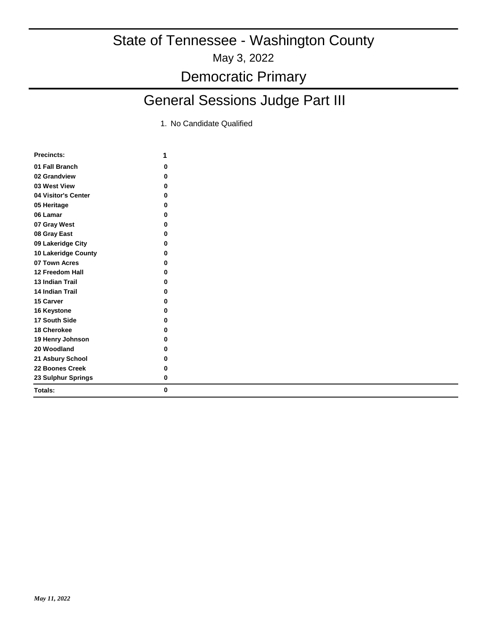## General Sessions Judge Part III

| <b>Precincts:</b>      | 1 |
|------------------------|---|
| 01 Fall Branch         | 0 |
| 02 Grandview           | 0 |
| 03 West View           | 0 |
| 04 Visitor's Center    | 0 |
| 05 Heritage            | 0 |
| 06 Lamar               | 0 |
| 07 Gray West           | ŋ |
| 08 Gray East           | O |
| 09 Lakeridge City      | 0 |
| 10 Lakeridge County    | 0 |
| 07 Town Acres          | 0 |
| 12 Freedom Hall        | 0 |
| <b>13 Indian Trail</b> | 0 |
| <b>14 Indian Trail</b> | O |
| <b>15 Carver</b>       | 0 |
| 16 Keystone            | 0 |
| 17 South Side          | 0 |
| 18 Cherokee            | 0 |
| 19 Henry Johnson       | 0 |
| 20 Woodland            | 0 |
| 21 Asbury School       | 0 |
| 22 Boones Creek        | 0 |
| 23 Sulphur Springs     | 0 |
| Totals:                | 0 |
|                        |   |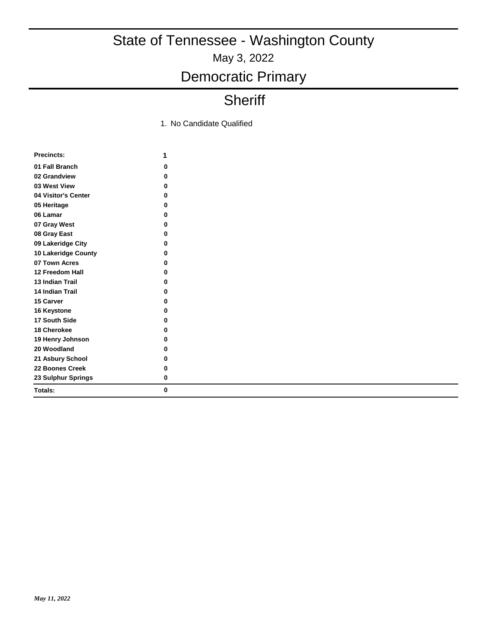## Democratic Primary

## **Sheriff**

|                        | 1 |
|------------------------|---|
| 01 Fall Branch         | 0 |
| 02 Grandview           | 0 |
| 03 West View           | 0 |
| 04 Visitor's Center    | 0 |
| 05 Heritage            | 0 |
| 06 Lamar               | 0 |
| 07 Gray West           | 0 |
| 08 Gray East           | 0 |
| 09 Lakeridge City      | 0 |
| 10 Lakeridge County    | 0 |
| 07 Town Acres          | 0 |
| 12 Freedom Hall        | 0 |
| <b>13 Indian Trail</b> | 0 |
| 14 Indian Trail        | 0 |
| 15 Carver              | 0 |
| 16 Keystone            | 0 |
| 17 South Side          | 0 |
| 18 Cherokee            | 0 |
| 19 Henry Johnson       | 0 |
| 20 Woodland            | 0 |
| 21 Asbury School       | 0 |
| 22 Boones Creek        | 0 |
| 23 Sulphur Springs     | 0 |
| Totals:                | 0 |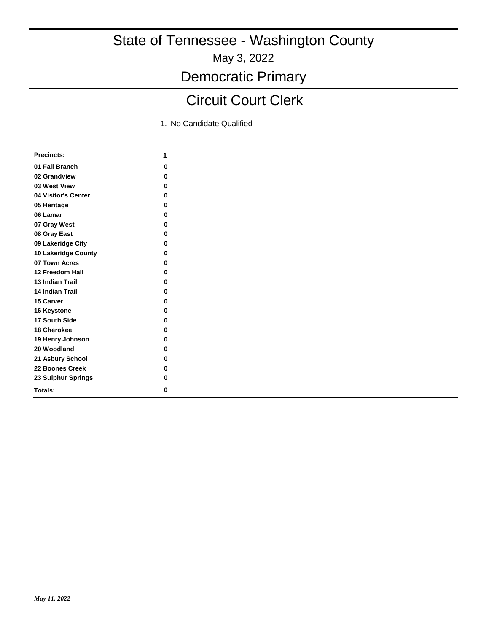May 3, 2022

Democratic Primary

## Circuit Court Clerk

| <b>Precincts:</b>          | 1 |
|----------------------------|---|
| 01 Fall Branch             | 0 |
| 02 Grandview               | O |
| 03 West View               | 0 |
| 04 Visitor's Center        | 0 |
| 05 Heritage                | 0 |
| 06 Lamar                   | 0 |
| 07 Gray West               | 0 |
| 08 Gray East               | 0 |
| 09 Lakeridge City          | 0 |
| <b>10 Lakeridge County</b> | 0 |
| 07 Town Acres              | 0 |
| 12 Freedom Hall            | 0 |
| <b>13 Indian Trail</b>     | ŋ |
| <b>14 Indian Trail</b>     | 0 |
| <b>15 Carver</b>           | 0 |
| 16 Keystone                | 0 |
| 17 South Side              | 0 |
| 18 Cherokee                | 0 |
| 19 Henry Johnson           | 0 |
| 20 Woodland                | 0 |
| 21 Asbury School           | 0 |
| 22 Boones Creek            | 0 |
| 23 Sulphur Springs         | 0 |
| Totals:                    | 0 |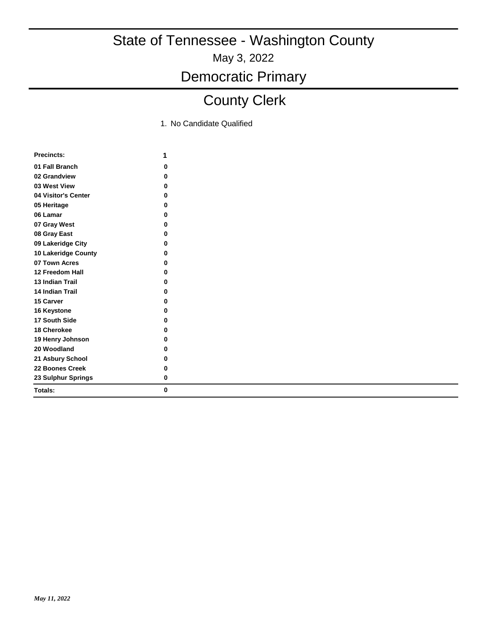Democratic Primary

## County Clerk

| <b>Precincts:</b>      | 1 |
|------------------------|---|
| 01 Fall Branch         | 0 |
| 02 Grandview           | 0 |
| 03 West View           | 0 |
| 04 Visitor's Center    | 0 |
| 05 Heritage            | 0 |
| 06 Lamar               | 0 |
| 07 Gray West           | 0 |
| 08 Gray East           | 0 |
| 09 Lakeridge City      | 0 |
| 10 Lakeridge County    | 0 |
| 07 Town Acres          | 0 |
| 12 Freedom Hall        | 0 |
| <b>13 Indian Trail</b> | 0 |
| <b>14 Indian Trail</b> | 0 |
| <b>15 Carver</b>       | 0 |
| 16 Keystone            | ŋ |
| 17 South Side          | 0 |
| 18 Cherokee            | 0 |
| 19 Henry Johnson       | 0 |
| 20 Woodland            | 0 |
| 21 Asbury School       | 0 |
| 22 Boones Creek        | 0 |
| 23 Sulphur Springs     | 0 |
| Totals:                | 0 |
|                        |   |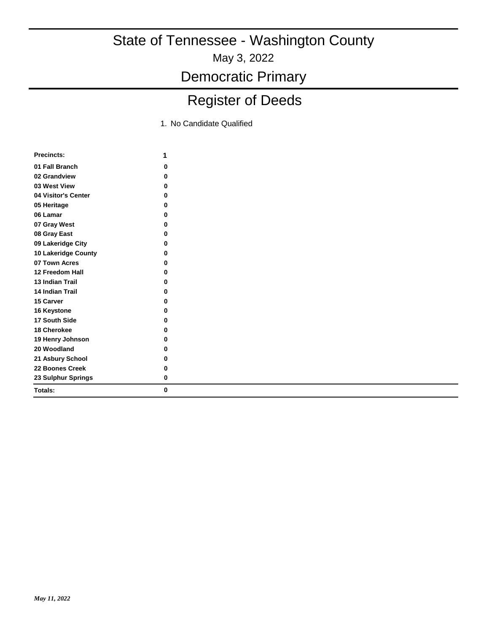May 3, 2022

Democratic Primary

## Register of Deeds

| <b>Precincts:</b>      | 1 |
|------------------------|---|
| 01 Fall Branch         | 0 |
| 02 Grandview           | O |
| 03 West View           | O |
| 04 Visitor's Center    | O |
| 05 Heritage            | 0 |
| 06 Lamar               | ŋ |
| 07 Gray West           | O |
| 08 Gray East           | O |
| 09 Lakeridge City      | 0 |
| 10 Lakeridge County    | 0 |
| 07 Town Acres          | U |
| 12 Freedom Hall        | 0 |
| <b>13 Indian Trail</b> | ŋ |
| <b>14 Indian Trail</b> | 0 |
| 15 Carver              | O |
| 16 Keystone            | O |
| 17 South Side          | 0 |
| <b>18 Cherokee</b>     | 0 |
| 19 Henry Johnson       | 0 |
| 20 Woodland            | 0 |
| 21 Asbury School       | 0 |
| 22 Boones Creek        | U |
| 23 Sulphur Springs     | 0 |
| Totals:                | 0 |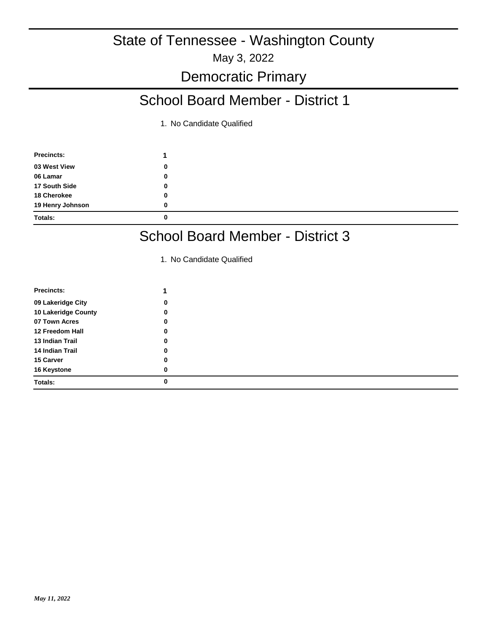### School Board Member - District 1

1. No Candidate Qualified

| <b>Precincts:</b> |   |
|-------------------|---|
| 03 West View      | 0 |
| 06 Lamar          | 0 |
| 17 South Side     | 0 |
| 18 Cherokee       | 0 |
| 19 Henry Johnson  | 0 |
| <b>Totals:</b>    | 0 |

### School Board Member - District 3

| Precincts:          |   |
|---------------------|---|
| 09 Lakeridge City   | 0 |
| 10 Lakeridge County | 0 |
| 07 Town Acres       | 0 |
| 12 Freedom Hall     | 0 |
| 13 Indian Trail     | 0 |
| 14 Indian Trail     | 0 |
| 15 Carver           | 0 |
| 16 Keystone         | 0 |
| Totals:             | 0 |